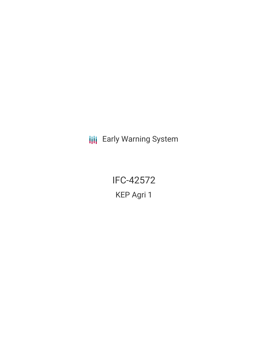**III** Early Warning System

IFC-42572 KEP Agri 1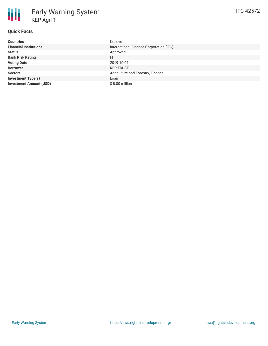# **Quick Facts**

| <b>Countries</b>               | Kosovo                                  |
|--------------------------------|-----------------------------------------|
| <b>Financial Institutions</b>  | International Finance Corporation (IFC) |
| <b>Status</b>                  | Approved                                |
| <b>Bank Risk Rating</b>        | FI                                      |
| <b>Voting Date</b>             | 2019-10-07                              |
| <b>Borrower</b>                | <b>KEP TRUST</b>                        |
| <b>Sectors</b>                 | Agriculture and Forestry, Finance       |
| <b>Investment Type(s)</b>      | Loan                                    |
| <b>Investment Amount (USD)</b> | $$8.00$ million                         |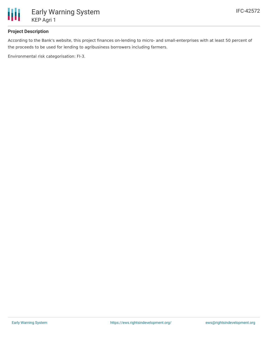

#### **Project Description**

According to the Bank's website, this project finances on-lending to micro- and small-enterprises with at least 50 percent of the proceeds to be used for lending to agribusiness borrowers including farmers.

Environmental risk categorisation: FI-3.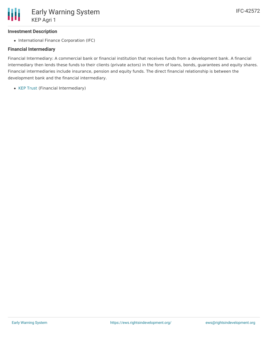### **Investment Description**

• International Finance Corporation (IFC)

#### **Financial Intermediary**

Financial Intermediary: A commercial bank or financial institution that receives funds from a development bank. A financial intermediary then lends these funds to their clients (private actors) in the form of loans, bonds, guarantees and equity shares. Financial intermediaries include insurance, pension and equity funds. The direct financial relationship is between the development bank and the financial intermediary.

• KEP [Trust](file:///actor/239/) (Financial Intermediary)